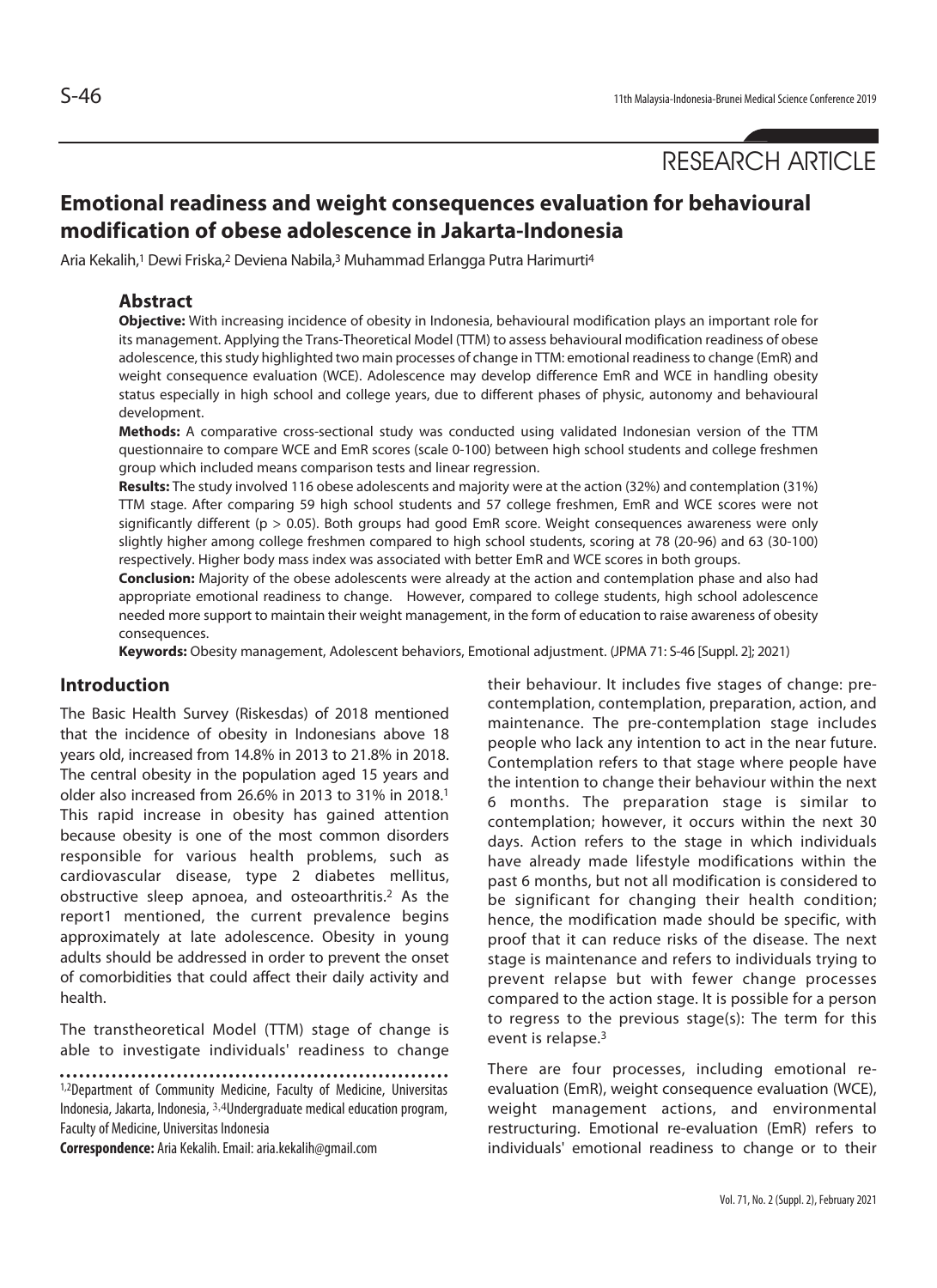RESEARCH ARTICLE

# **Emotional readiness and weight consequences evaluation for behavioural modification of obese adolescence in Jakarta-Indonesia**

Aria Kekalih,<sup>1</sup> Dewi Friska,<sup>2</sup> Deviena Nabila,<sup>3</sup> Muhammad Erlangga Putra Harimurti<sup>4</sup>

#### **Abstract**

**Objective:** With increasing incidence of obesity in Indonesia, behavioural modification plays an important role for its management. Applying the Trans-Theoretical Model (TTM) to assess behavioural modification readiness of obese adolescence, this study highlighted two main processes of change in TTM: emotional readiness to change (EmR) and weight consequence evaluation (WCE). Adolescence may develop difference EmR and WCE in handling obesity status especially in high school and college years, due to different phases of physic, autonomy and behavioural development.

**Methods:** A comparative cross-sectional study was conducted using validated Indonesian version of the TTM questionnaire to compare WCE and EmR scores (scale 0-100) between high school students and college freshmen group which included means comparison tests and linear regression.

**Results:** The study involved 116 obese adolescents and majority were at the action (32%) and contemplation (31%) TTM stage. After comparing 59 high school students and 57 college freshmen, EmR and WCE scores were not significantly different (p > 0.05). Both groups had good EmR score. Weight consequences awareness were only slightly higher among college freshmen compared to high school students, scoring at 78 (20-96) and 63 (30-100) respectively. Higher body mass index was associated with better EmR and WCE scores in both groups.

**Conclusion:** Majority of the obese adolescents were already at the action and contemplation phase and also had appropriate emotional readiness to change. However, compared to college students, high school adolescence needed more support to maintain their weight management, in the form of education to raise awareness of obesity consequences.

**Keywords:** Obesity management, Adolescent behaviors, Emotional adjustment. (JPMA 71: S-46 [Suppl. 2]; 2021)

#### **Introduction**

The Basic Health Survey (Riskesdas) of 2018 mentioned that the incidence of obesity in Indonesians above 18 years old, increased from 14.8% in 2013 to 21.8% in 2018. The central obesity in the population aged 15 years and older also increased from 26.6% in 2013 to 31% in 2018.1 This rapid increase in obesity has gained attention because obesity is one of the most common disorders responsible for various health problems, such as cardiovascular disease, type 2 diabetes mellitus, obstructive sleep apnoea, and osteoarthritis.2 As the report1 mentioned, the current prevalence begins approximately at late adolescence. Obesity in young adults should be addressed in order to prevent the onset of comorbidities that could affect their daily activity and health.

The transtheoretical Model (TTM) stage of change is able to investigate individuals' readiness to change

1,2Department of Community Medicine, Faculty of Medicine, Universitas Indonesia, Jakarta, Indonesia, 3,4Undergraduate medical education program, Faculty of Medicine, Universitas Indonesia

**Correspondence:** Aria Kekalih. Email: aria.kekalih@gmail.com

their behaviour. It includes five stages of change: precontemplation, contemplation, preparation, action, and maintenance. The pre-contemplation stage includes people who lack any intention to act in the near future. Contemplation refers to that stage where people have the intention to change their behaviour within the next 6 months. The preparation stage is similar to contemplation; however, it occurs within the next 30 days. Action refers to the stage in which individuals have already made lifestyle modifications within the past 6 months, but not all modification is considered to be significant for changing their health condition; hence, the modification made should be specific, with proof that it can reduce risks of the disease. The next stage is maintenance and refers to individuals trying to prevent relapse but with fewer change processes compared to the action stage. It is possible for a person to regress to the previous stage(s): The term for this event is relapse.3

There are four processes, including emotional reevaluation (EmR), weight consequence evaluation (WCE), weight management actions, and environmental restructuring. Emotional re-evaluation (EmR) refers to individuals' emotional readiness to change or to their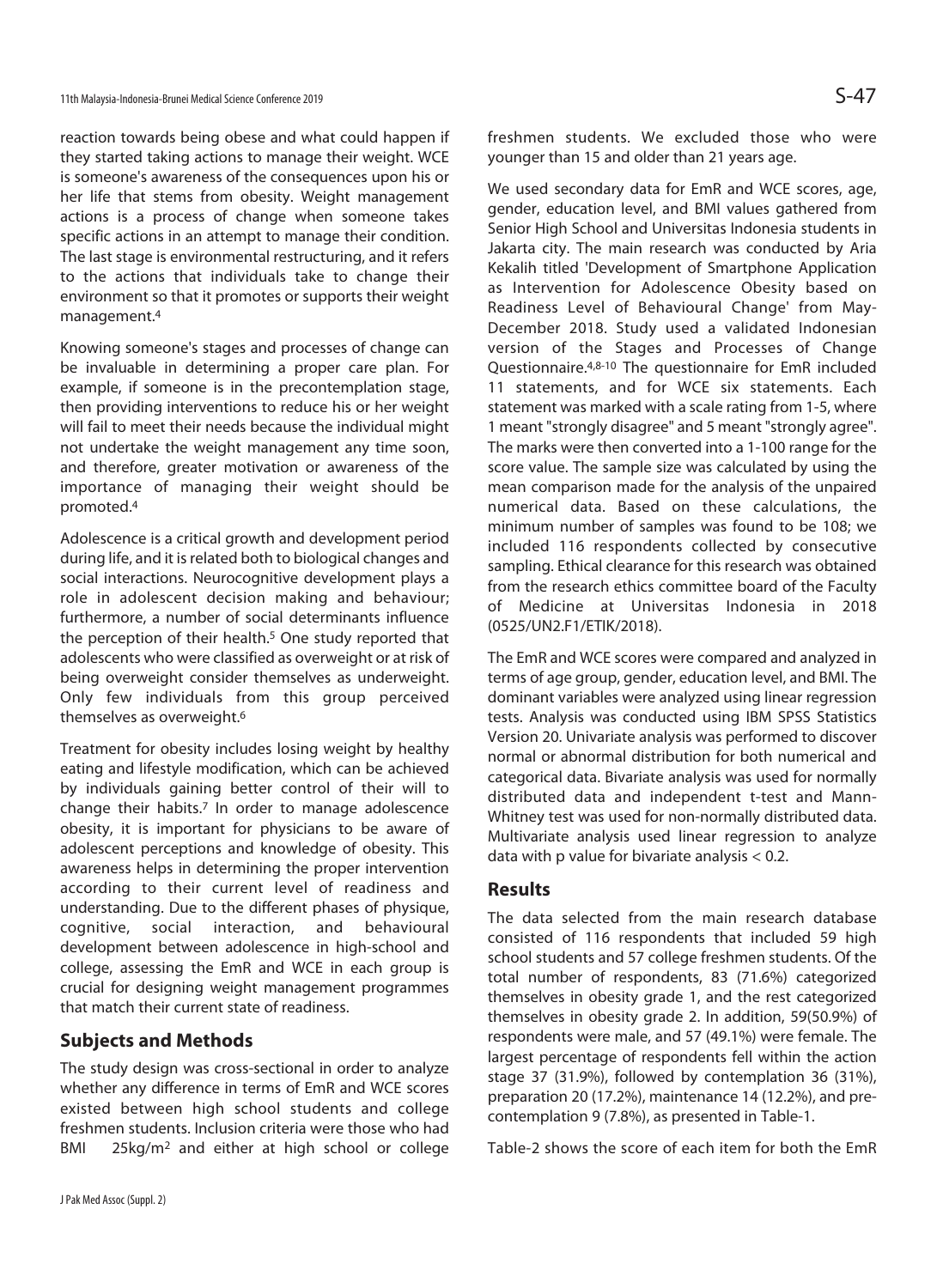reaction towards being obese and what could happen if they started taking actions to manage their weight. WCE is someone's awareness of the consequences upon his or her life that stems from obesity. Weight management actions is a process of change when someone takes specific actions in an attempt to manage their condition. The last stage is environmental restructuring, and it refers to the actions that individuals take to change their environment so that it promotes or supports their weight management.4

Knowing someone's stages and processes of change can be invaluable in determining a proper care plan. For example, if someone is in the precontemplation stage, then providing interventions to reduce his or her weight will fail to meet their needs because the individual might not undertake the weight management any time soon, and therefore, greater motivation or awareness of the importance of managing their weight should be promoted.4

Adolescence is a critical growth and development period during life, and it is related both to biological changes and social interactions. Neurocognitive development plays a role in adolescent decision making and behaviour; furthermore, a number of social determinants influence the perception of their health.<sup>5</sup> One study reported that adolescents who were classified as overweight or at risk of being overweight consider themselves as underweight. Only few individuals from this group perceived themselves as overweight.6

Treatment for obesity includes losing weight by healthy eating and lifestyle modification, which can be achieved by individuals gaining better control of their will to change their habits.7 In order to manage adolescence obesity, it is important for physicians to be aware of adolescent perceptions and knowledge of obesity. This awareness helps in determining the proper intervention according to their current level of readiness and understanding. Due to the different phases of physique, cognitive, social interaction, and behavioural development between adolescence in high-school and college, assessing the EmR and WCE in each group is crucial for designing weight management programmes that match their current state of readiness.

## **Subjects and Methods**

The study design was cross-sectional in order to analyze whether any difference in terms of EmR and WCE scores existed between high school students and college freshmen students. Inclusion criteria were those who had BMI 25kg/m<sup>2</sup> and either at high school or college freshmen students. We excluded those who were younger than 15 and older than 21 years age.

We used secondary data for EmR and WCE scores, age, gender, education level, and BMI values gathered from Senior High School and Universitas Indonesia students in Jakarta city. The main research was conducted by Aria Kekalih titled 'Development of Smartphone Application as Intervention for Adolescence Obesity based on Readiness Level of Behavioural Change' from May-December 2018. Study used a validated Indonesian version of the Stages and Processes of Change Questionnaire.4,8-10 The questionnaire for EmR included 11 statements, and for WCE six statements. Each statement was marked with a scale rating from 1-5, where 1 meant "strongly disagree" and 5 meant "strongly agree". The marks were then converted into a 1-100 range for the score value. The sample size was calculated by using the mean comparison made for the analysis of the unpaired numerical data. Based on these calculations, the minimum number of samples was found to be 108; we included 116 respondents collected by consecutive sampling. Ethical clearance for this research was obtained from the research ethics committee board of the Faculty of Medicine at Universitas Indonesia in 2018 (0525/UN2.F1/ETIK/2018).

The EmR and WCE scores were compared and analyzed in terms of age group, gender, education level, and BMI. The dominant variables were analyzed using linear regression tests. Analysis was conducted using IBM SPSS Statistics Version 20. Univariate analysis was performed to discover normal or abnormal distribution for both numerical and categorical data. Bivariate analysis was used for normally distributed data and independent t-test and Mann-Whitney test was used for non-normally distributed data. Multivariate analysis used linear regression to analyze data with p value for bivariate analysis < 0.2.

### **Results**

The data selected from the main research database consisted of 116 respondents that included 59 high school students and 57 college freshmen students. Of the total number of respondents, 83 (71.6%) categorized themselves in obesity grade 1, and the rest categorized themselves in obesity grade 2. In addition, 59(50.9%) of respondents were male, and 57 (49.1%) were female. The largest percentage of respondents fell within the action stage 37 (31.9%), followed by contemplation 36 (31%), preparation 20 (17.2%), maintenance 14 (12.2%), and precontemplation 9 (7.8%), as presented in Table-1.

Table-2 shows the score of each item for both the EmR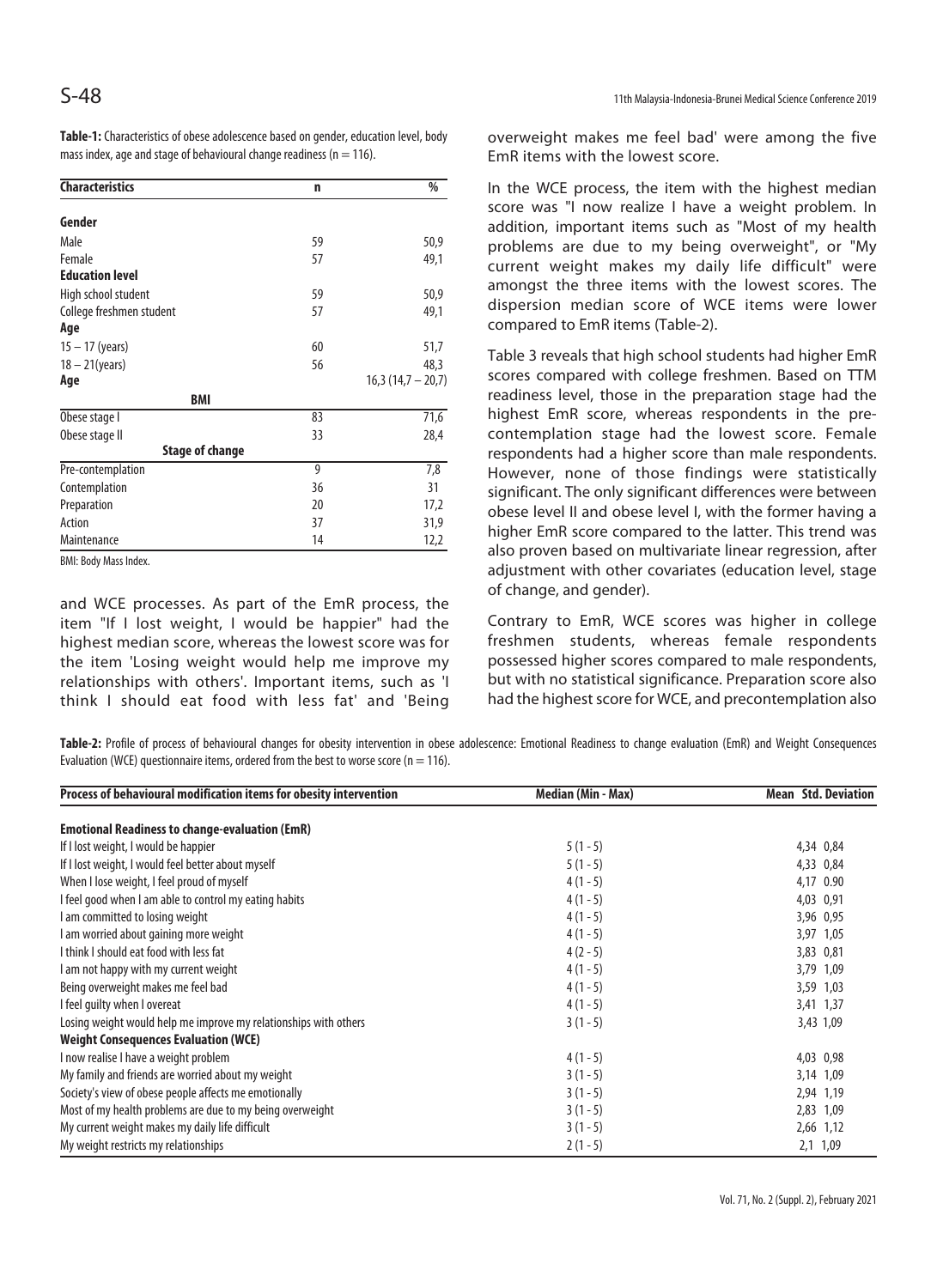**Table-1:** Characteristics of obese adolescence based on gender, education level, body mass index, age and stage of behavioural change readiness ( $n = 116$ ).

| <b>Characteristics</b>   | n  | %                   |
|--------------------------|----|---------------------|
| Gender                   |    |                     |
| Male                     | 59 | 50,9                |
| Female                   | 57 | 49,1                |
| <b>Education level</b>   |    |                     |
| High school student      | 59 | 50,9                |
| College freshmen student | 57 | 49,1                |
| Age                      |    |                     |
| $15 - 17$ (years)        | 60 | 51,7                |
| $18 - 21$ (years)        | 56 | 48,3                |
| Age                      |    | $16,3(14,7 - 20,7)$ |
| <b>BMI</b>               |    |                     |
| Obese stage I            | 83 | 71,6                |
| Obese stage II           | 33 | 28,4                |
| <b>Stage of change</b>   |    |                     |
| Pre-contemplation        | 9  | 7,8                 |
| Contemplation            | 36 | 31                  |
| Preparation              | 20 | 17,2                |
| Action                   | 37 | 31,9                |
| Maintenance              | 14 | 12,2                |

BMI: Body Mass Index.

and WCE processes. As part of the EmR process, the item "If I lost weight, I would be happier" had the highest median score, whereas the lowest score was for the item 'Losing weight would help me improve my relationships with others'. Important items, such as 'I think I should eat food with less fat' and 'Being

overweight makes me feel bad' were among the five EmR items with the lowest score.

In the WCE process, the item with the highest median score was "I now realize I have a weight problem. In addition, important items such as "Most of my health problems are due to my being overweight", or "My current weight makes my daily life difficult" were amongst the three items with the lowest scores. The dispersion median score of WCE items were lower compared to EmR items (Table-2).

Table 3 reveals that high school students had higher EmR scores compared with college freshmen. Based on TTM readiness level, those in the preparation stage had the highest EmR score, whereas respondents in the precontemplation stage had the lowest score. Female respondents had a higher score than male respondents. However, none of those findings were statistically significant. The only significant differences were between obese level II and obese level I, with the former having a higher EmR score compared to the latter. This trend was also proven based on multivariate linear regression, after adjustment with other covariates (education level, stage of change, and gender).

Contrary to EmR, WCE scores was higher in college freshmen students, whereas female respondents possessed higher scores compared to male respondents, but with no statistical significance. Preparation score also had the highest score for WCE, and precontemplation also

**Table-2:** Profile of process of behavioural changes for obesity intervention in obese adolescence: Emotional Readiness to change evaluation (EmR) and Weight Consequences Evaluation (WCE) questionnaire items, ordered from the best to worse score ( $n = 116$ ).

| Process of behavioural modification items for obesity intervention | Median (Min - Max) | <b>Mean Std. Deviation</b> |
|--------------------------------------------------------------------|--------------------|----------------------------|
| <b>Emotional Readiness to change-evaluation (EmR)</b>              |                    |                            |
| If I lost weight, I would be happier                               | $5(1-5)$           | 4,34 0,84                  |
| If I lost weight, I would feel better about myself                 | $5(1-5)$           | 4,33 0,84                  |
| When I lose weight, I feel proud of myself                         | $4(1-5)$           | 4,17 0.90                  |
| I feel good when I am able to control my eating habits             | $4(1-5)$           | 4,03 0,91                  |
| I am committed to losing weight                                    | $4(1-5)$           | 3,96 0,95                  |
| I am worried about gaining more weight                             | $4(1-5)$           | 3,97 1,05                  |
| I think I should eat food with less fat                            | $4(2-5)$           | 3,83 0,81                  |
| I am not happy with my current weight                              | $4(1-5)$           | 3,79 1,09                  |
| Being overweight makes me feel bad                                 | $4(1-5)$           | 3,59 1,03                  |
| I feel quilty when I overeat                                       | $4(1-5)$           | 3,41 1,37                  |
| Losing weight would help me improve my relationships with others   | $3(1-5)$           | 3,43 1,09                  |
| <b>Weight Consequences Evaluation (WCE)</b>                        |                    |                            |
| I now realise I have a weight problem                              | $4(1-5)$           | 4,03 0,98                  |
| My family and friends are worried about my weight                  | $3(1-5)$           | 3,14 1,09                  |
| Society's view of obese people affects me emotionally              | $3(1-5)$           | 2,94 1,19                  |
| Most of my health problems are due to my being overweight          | $3(1-5)$           | 2,83 1,09                  |
| My current weight makes my daily life difficult                    | $3(1-5)$           | 2,66 1,12                  |
| My weight restricts my relationships                               | $2(1 - 5)$         | 2,1 1,09                   |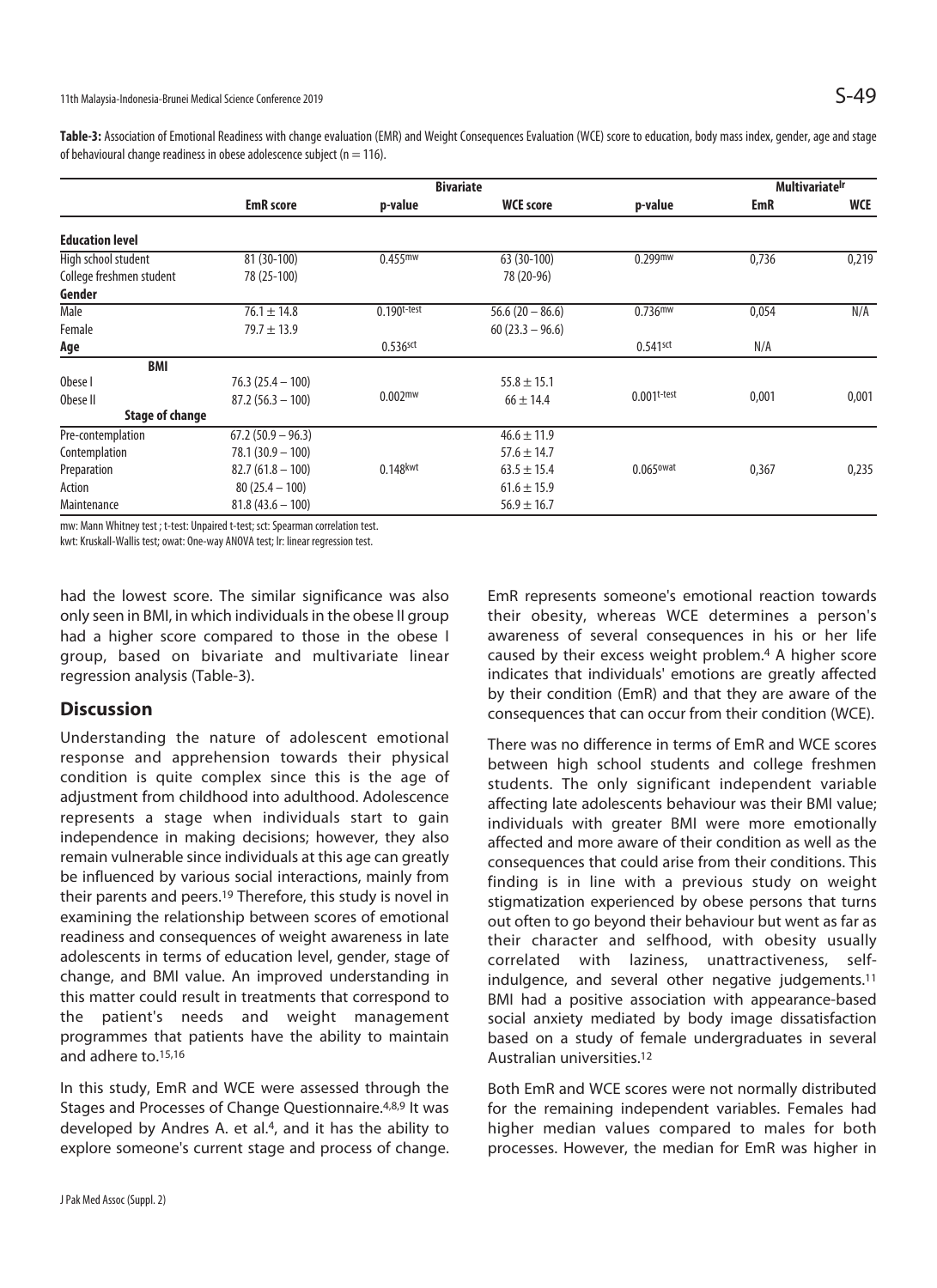Table-3: Association of Emotional Readiness with change evaluation (EMR) and Weight Consequences Evaluation (WCE) score to education, body mass index, gender, age and stage of behavioural change readiness in obese adolescence subject ( $n = 116$ ).

|                          |                     |                        | <b>Multivariatelr</b> |                         |       |            |
|--------------------------|---------------------|------------------------|-----------------------|-------------------------|-------|------------|
|                          | <b>EmR</b> score    | p-value                | <b>WCE score</b>      | p-value                 | EmR   | <b>WCE</b> |
| <b>Education level</b>   |                     |                        |                       |                         |       |            |
| High school student      | 81 (30-100)         | $0.455$ <sup>mw</sup>  | 63 (30-100)           | $0.299$ mw              | 0,736 | 0,219      |
| College freshmen student | 78 (25-100)         |                        | 78 (20-96)            |                         |       |            |
| Gender                   |                     |                        |                       |                         |       |            |
| Male                     | $76.1 \pm 14.8$     | $0.190t$ -test         | $56.6(20 - 86.6)$     | $0.736$ <sup>mw</sup>   | 0,054 | N/A        |
| Female                   | $79.7 \pm 13.9$     |                        | $60(23.3 - 96.6)$     |                         |       |            |
| Age                      |                     | $0.536$ sct            |                       | $0.541$ sct             | N/A   |            |
| <b>BMI</b>               |                     |                        |                       |                         |       |            |
| Obese I                  | $76.3(25.4 - 100)$  |                        | $55.8 \pm 15.1$       |                         |       |            |
| Obese II                 | $87.2(56.3 - 100)$  | 0.002 <sup>mw</sup>    | $66 \pm 14.4$         | $0.001$ t-test          | 0,001 | 0,001      |
| <b>Stage of change</b>   |                     |                        |                       |                         |       |            |
| Pre-contemplation        | $67.2(50.9 - 96.3)$ |                        | $46.6 \pm 11.9$       |                         |       |            |
| Contemplation            | $78.1(30.9 - 100)$  |                        | $57.6 \pm 14.7$       |                         |       |            |
| Preparation              | $82.7(61.8 - 100)$  | $0.148$ <sub>kwt</sub> | $63.5 \pm 15.4$       | $0.065$ <sup>owat</sup> | 0,367 | 0,235      |
| Action                   | $80(25.4 - 100)$    |                        | $61.6 \pm 15.9$       |                         |       |            |
| Maintenance              | $81.8(43.6 - 100)$  |                        | $56.9 \pm 16.7$       |                         |       |            |

mw: Mann Whitney test ; t-test: Unpaired t-test; sct: Spearman correlation test.

kwt: Kruskall-Wallis test; owat: One-way ANOVA test; lr: linear regression test.

had the lowest score. The similar significance was also only seen in BMI, in which individuals in the obese II group had a higher score compared to those in the obese I group, based on bivariate and multivariate linear regression analysis (Table-3).

#### **Discussion**

Understanding the nature of adolescent emotional response and apprehension towards their physical condition is quite complex since this is the age of adjustment from childhood into adulthood. Adolescence represents a stage when individuals start to gain independence in making decisions; however, they also remain vulnerable since individuals at this age can greatly be influenced by various social interactions, mainly from their parents and peers.19 Therefore, this study is novel in examining the relationship between scores of emotional readiness and consequences of weight awareness in late adolescents in terms of education level, gender, stage of change, and BMI value. An improved understanding in this matter could result in treatments that correspond to the patient's needs and weight management programmes that patients have the ability to maintain and adhere to.15,16

In this study, EmR and WCE were assessed through the Stages and Processes of Change Questionnaire.4,8,9 It was developed by Andres A. et al.<sup>4</sup>, and it has the ability to explore someone's current stage and process of change. EmR represents someone's emotional reaction towards their obesity, whereas WCE determines a person's awareness of several consequences in his or her life caused by their excess weight problem.4 A higher score indicates that individuals' emotions are greatly affected by their condition (EmR) and that they are aware of the consequences that can occur from their condition (WCE).

There was no difference in terms of EmR and WCE scores between high school students and college freshmen students. The only significant independent variable affecting late adolescents behaviour was their BMI value; individuals with greater BMI were more emotionally affected and more aware of their condition as well as the consequences that could arise from their conditions. This finding is in line with a previous study on weight stigmatization experienced by obese persons that turns out often to go beyond their behaviour but went as far as their character and selfhood, with obesity usually correlated with laziness, unattractiveness, selfindulgence, and several other negative judgements.<sup>11</sup> BMI had a positive association with appearance-based social anxiety mediated by body image dissatisfaction based on a study of female undergraduates in several Australian universities.12

Both EmR and WCE scores were not normally distributed for the remaining independent variables. Females had higher median values compared to males for both processes. However, the median for EmR was higher in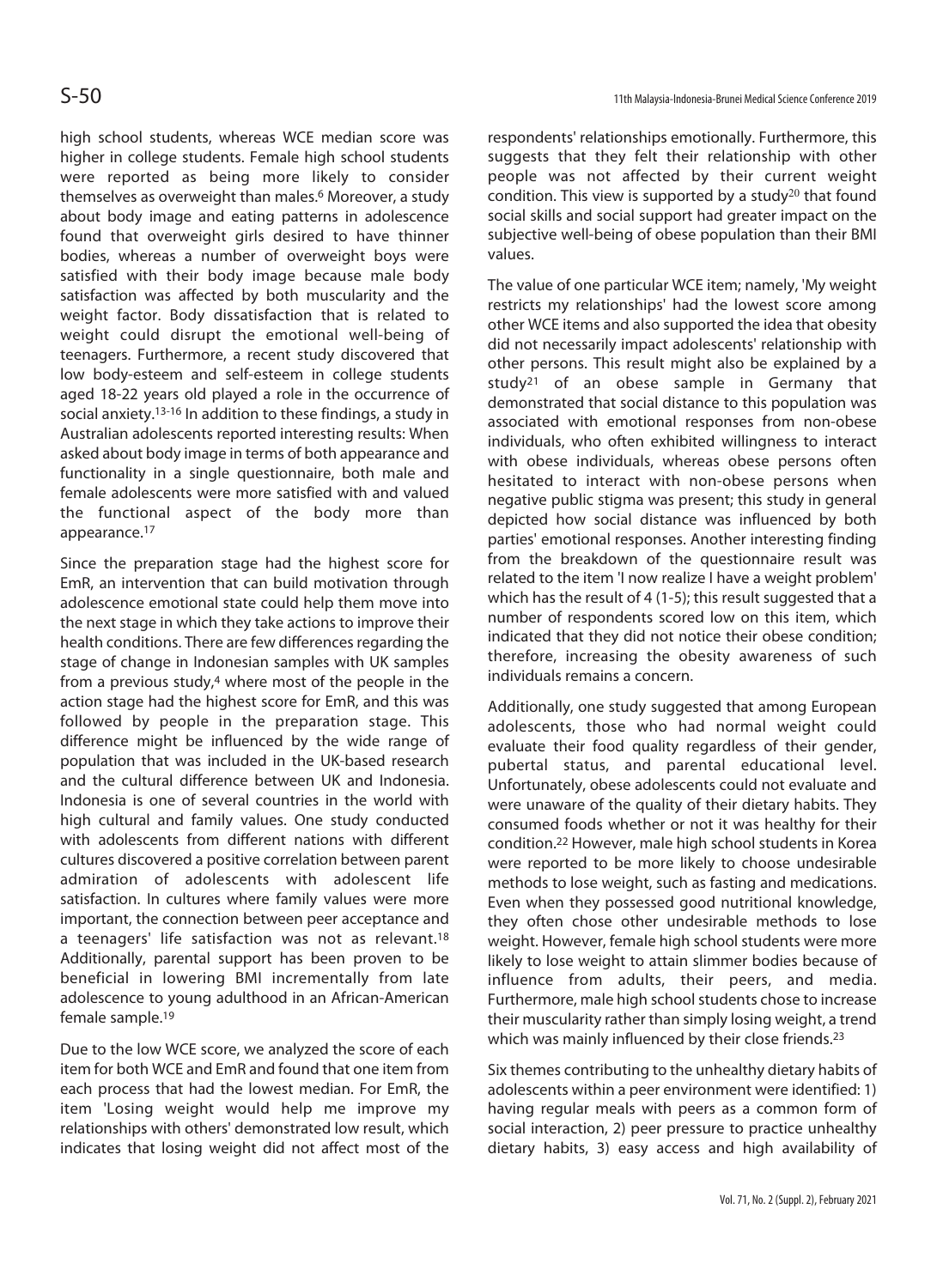high school students, whereas WCE median score was higher in college students. Female high school students were reported as being more likely to consider themselves as overweight than males.<sup>6</sup> Moreover, a study about body image and eating patterns in adolescence found that overweight girls desired to have thinner bodies, whereas a number of overweight boys were satisfied with their body image because male body satisfaction was affected by both muscularity and the weight factor. Body dissatisfaction that is related to weight could disrupt the emotional well-being of teenagers. Furthermore, a recent study discovered that low body-esteem and self-esteem in college students aged 18-22 years old played a role in the occurrence of social anxiety.13-16 In addition to these findings, a study in Australian adolescents reported interesting results: When asked about body image in terms of both appearance and functionality in a single questionnaire, both male and female adolescents were more satisfied with and valued the functional aspect of the body more than appearance.17

Since the preparation stage had the highest score for EmR, an intervention that can build motivation through adolescence emotional state could help them move into the next stage in which they take actions to improve their health conditions. There are few differences regarding the stage of change in Indonesian samples with UK samples from a previous study,<sup>4</sup> where most of the people in the action stage had the highest score for EmR, and this was followed by people in the preparation stage. This difference might be influenced by the wide range of population that was included in the UK-based research and the cultural difference between UK and Indonesia. Indonesia is one of several countries in the world with high cultural and family values. One study conducted with adolescents from different nations with different cultures discovered a positive correlation between parent admiration of adolescents with adolescent life satisfaction. In cultures where family values were more important, the connection between peer acceptance and a teenagers' life satisfaction was not as relevant.<sup>18</sup> Additionally, parental support has been proven to be beneficial in lowering BMI incrementally from late adolescence to young adulthood in an African-American female sample.19

Due to the low WCE score, we analyzed the score of each item for both WCE and EmR and found that one item from each process that had the lowest median. For EmR, the item 'Losing weight would help me improve my relationships with others' demonstrated low result, which indicates that losing weight did not affect most of the

respondents' relationships emotionally. Furthermore, this suggests that they felt their relationship with other people was not affected by their current weight condition. This view is supported by a study<sup>20</sup> that found social skills and social support had greater impact on the subjective well-being of obese population than their BMI values.

The value of one particular WCE item; namely, 'My weight restricts my relationships' had the lowest score among other WCE items and also supported the idea that obesity did not necessarily impact adolescents' relationship with other persons. This result might also be explained by a study21 of an obese sample in Germany that demonstrated that social distance to this population was associated with emotional responses from non-obese individuals, who often exhibited willingness to interact with obese individuals, whereas obese persons often hesitated to interact with non-obese persons when negative public stigma was present; this study in general depicted how social distance was influenced by both parties' emotional responses. Another interesting finding from the breakdown of the questionnaire result was related to the item 'I now realize I have a weight problem' which has the result of 4 (1-5); this result suggested that a number of respondents scored low on this item, which indicated that they did not notice their obese condition; therefore, increasing the obesity awareness of such individuals remains a concern.

Additionally, one study suggested that among European adolescents, those who had normal weight could evaluate their food quality regardless of their gender, pubertal status, and parental educational level. Unfortunately, obese adolescents could not evaluate and were unaware of the quality of their dietary habits. They consumed foods whether or not it was healthy for their condition.22 However, male high school students in Korea were reported to be more likely to choose undesirable methods to lose weight, such as fasting and medications. Even when they possessed good nutritional knowledge, they often chose other undesirable methods to lose weight. However, female high school students were more likely to lose weight to attain slimmer bodies because of influence from adults, their peers, and media. Furthermore, male high school students chose to increase their muscularity rather than simply losing weight, a trend which was mainly influenced by their close friends.<sup>23</sup>

Six themes contributing to the unhealthy dietary habits of adolescents within a peer environment were identified: 1) having regular meals with peers as a common form of social interaction, 2) peer pressure to practice unhealthy dietary habits, 3) easy access and high availability of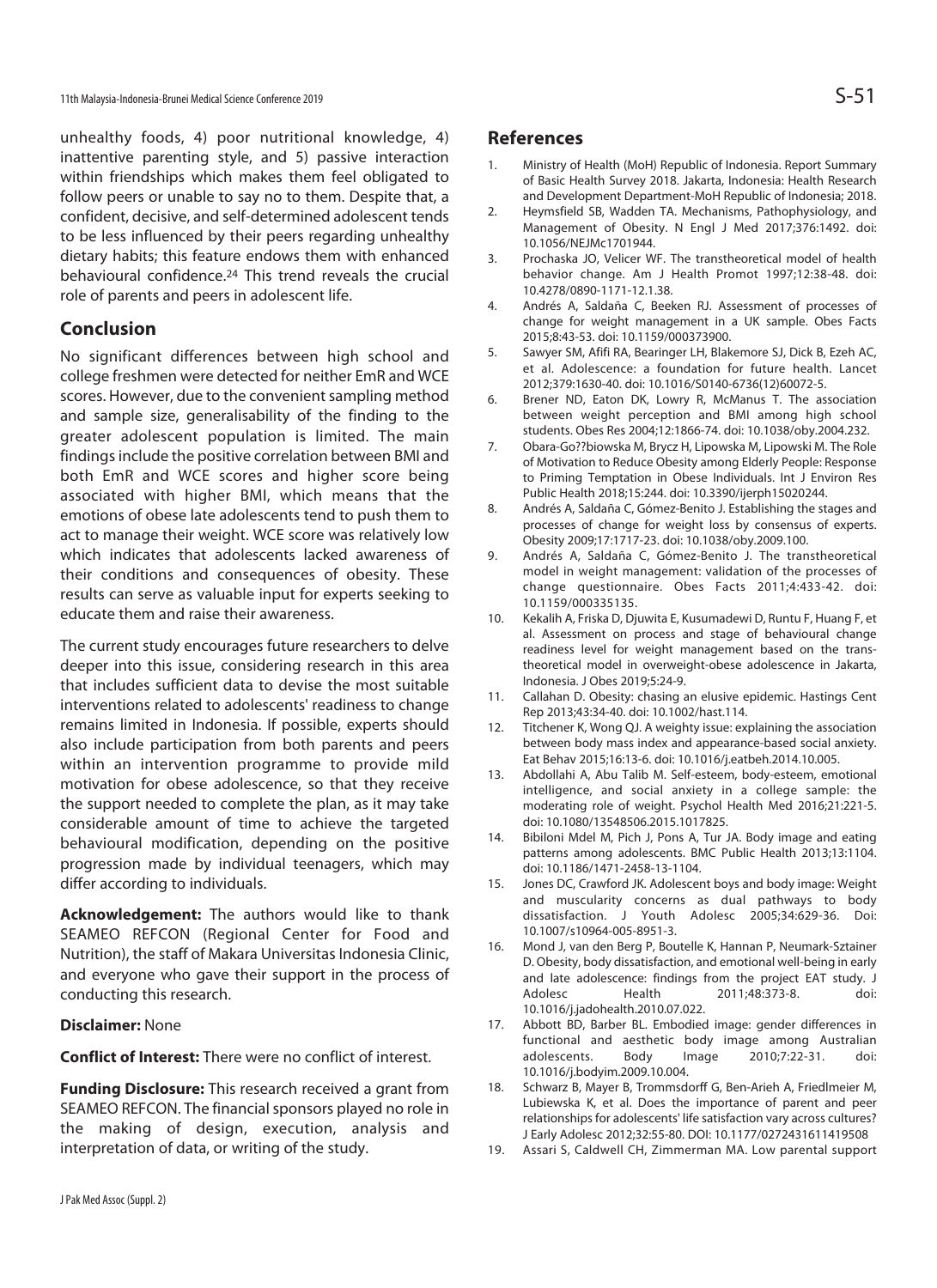unhealthy foods, 4) poor nutritional knowledge, 4) inattentive parenting style, and 5) passive interaction within friendships which makes them feel obligated to follow peers or unable to say no to them. Despite that, a confident, decisive, and self-determined adolescent tends to be less influenced by their peers regarding unhealthy dietary habits; this feature endows them with enhanced behavioural confidence.24 This trend reveals the crucial role of parents and peers in adolescent life.

## **Conclusion**

No significant differences between high school and college freshmen were detected for neither EmR and WCE scores. However, due to the convenient sampling method and sample size, generalisability of the finding to the greater adolescent population is limited. The main findings include the positive correlation between BMI and both EmR and WCE scores and higher score being associated with higher BMI, which means that the emotions of obese late adolescents tend to push them to act to manage their weight. WCE score was relatively low which indicates that adolescents lacked awareness of their conditions and consequences of obesity. These results can serve as valuable input for experts seeking to educate them and raise their awareness.

The current study encourages future researchers to delve deeper into this issue, considering research in this area that includes sufficient data to devise the most suitable interventions related to adolescents' readiness to change remains limited in Indonesia. If possible, experts should also include participation from both parents and peers within an intervention programme to provide mild motivation for obese adolescence, so that they receive the support needed to complete the plan, as it may take considerable amount of time to achieve the targeted behavioural modification, depending on the positive progression made by individual teenagers, which may differ according to individuals.

**Acknowledgement:** The authors would like to thank SEAMEO REFCON (Regional Center for Food and Nutrition), the staff of Makara Universitas Indonesia Clinic, and everyone who gave their support in the process of conducting this research.

#### **Disclaimer:** None

**Conflict of Interest:** There were no conflict of interest.

**Funding Disclosure:** This research received a grant from SEAMEO REFCON. The financial sponsors played no role in the making of design, execution, analysis and interpretation of data, or writing of the study.

#### **References**

- 1. Ministry of Health (MoH) Republic of Indonesia. Report Summary of Basic Health Survey 2018. Jakarta, Indonesia: Health Research and Development Department-MoH Republic of Indonesia; 2018.
- 2. Heymsfield SB, Wadden TA. Mechanisms, Pathophysiology, and Management of Obesity. N Engl J Med 2017;376:1492. doi: 10.1056/NEJMc1701944.
- 3. Prochaska JO, Velicer WF. The transtheoretical model of health behavior change. Am J Health Promot 1997;12:38-48. doi: 10.4278/0890-1171-12.1.38.
- 4. Andrés A, Saldaña C, Beeken RJ. Assessment of processes of change for weight management in a UK sample. Obes Facts 2015;8:43-53. doi: 10.1159/000373900.
- 5. Sawyer SM, Afifi RA, Bearinger LH, Blakemore SJ, Dick B, Ezeh AC, et al. Adolescence: a foundation for future health. Lancet 2012;379:1630-40. doi: 10.1016/S0140-6736(12)60072-5.
- 6. Brener ND, Eaton DK, Lowry R, McManus T. The association between weight perception and BMI among high school students. Obes Res 2004;12:1866-74. doi: 10.1038/oby.2004.232.
- 7. Obara-Go??biowska M, Brycz H, Lipowska M, Lipowski M. The Role of Motivation to Reduce Obesity among Elderly People: Response to Priming Temptation in Obese Individuals. Int J Environ Res Public Health 2018;15:244. doi: 10.3390/ijerph15020244.
- 8. Andrés A, Saldaña C, Gómez-Benito J. Establishing the stages and processes of change for weight loss by consensus of experts. Obesity 2009;17:1717-23. doi: 10.1038/oby.2009.100.
- 9. Andrés A, Saldaña C, Gómez-Benito J. The transtheoretical model in weight management: validation of the processes of change questionnaire. Obes Facts 2011;4:433-42. doi: 10.1159/000335135.
- 10. Kekalih A, Friska D, Djuwita E, Kusumadewi D, Runtu F, Huang F, et al. Assessment on process and stage of behavioural change readiness level for weight management based on the transtheoretical model in overweight-obese adolescence in Jakarta, Indonesia. J Obes 2019;5:24-9.
- 11. Callahan D. Obesity: chasing an elusive epidemic. Hastings Cent Rep 2013;43:34-40. doi: 10.1002/hast.114.
- 12. Titchener K, Wong QJ. A weighty issue: explaining the association between body mass index and appearance-based social anxiety. Eat Behav 2015;16:13-6. doi: 10.1016/j.eatbeh.2014.10.005.
- 13. Abdollahi A, Abu Talib M. Self-esteem, body-esteem, emotional intelligence, and social anxiety in a college sample: the moderating role of weight. Psychol Health Med 2016;21:221-5. doi: 10.1080/13548506.2015.1017825.
- 14. Bibiloni Mdel M, Pich J, Pons A, Tur JA. Body image and eating patterns among adolescents. BMC Public Health 2013;13:1104. doi: 10.1186/1471-2458-13-1104.
- 15. Jones DC, Crawford JK. Adolescent boys and body image: Weight and muscularity concerns as dual pathways to body dissatisfaction. J Youth Adolesc 2005;34:629-36. Doi: 10.1007/s10964-005-8951-3.
- 16. Mond J, van den Berg P, Boutelle K, Hannan P, Neumark-Sztainer D. Obesity, body dissatisfaction, and emotional well-being in early and late adolescence: findings from the project EAT study. J Adolesc Health 2011;48:373-8. doi: 10.1016/j.jadohealth.2010.07.022.
- 17. Abbott BD, Barber BL. Embodied image: gender differences in functional and aesthetic body image among Australian adolescents. Body Image 2010;7:22-31. doi: 10.1016/j.bodyim.2009.10.004.
- 18. Schwarz B, Mayer B, Trommsdorff G, Ben-Arieh A, Friedlmeier M, Lubiewska K, et al. Does the importance of parent and peer relationships for adolescents' life satisfaction vary across cultures? J Early Adolesc 2012;32:55-80. DOI: 10.1177/0272431611419508
- 19. Assari S, Caldwell CH, Zimmerman MA. Low parental support